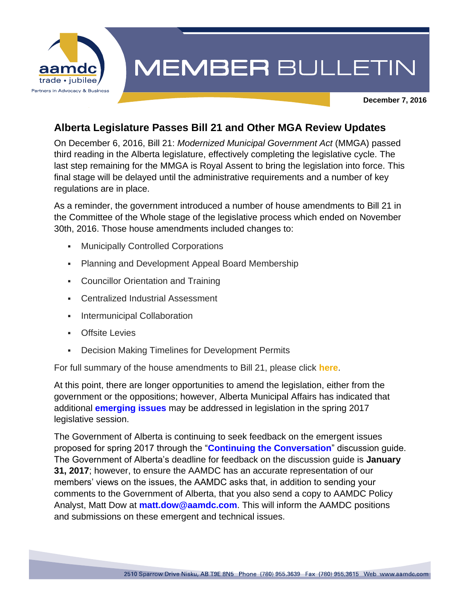

## **MEMBER BULLETIN**

**December 7, 2016**

## **Alberta Legislature Passes Bill 21 and Other MGA Review Updates**

On December 6, 2016, Bill 21: *Modernized Municipal Government Act* (MMGA) passed third reading in the Alberta legislature, effectively completing the legislative cycle. The last step remaining for the MMGA is Royal Assent to bring the legislation into force. This final stage will be delayed until the administrative requirements and a number of key regulations are in place.

As a reminder, the government introduced a number of house amendments to Bill 21 in the Committee of the Whole stage of the legislative process which ended on November 30th, 2016. Those house amendments included changes to:

- **Municipally Controlled Corporations**
- **Planning and Development Appeal Board Membership**
- **Councillor Orientation and Training**
- Centralized Industrial Assessment
- **Intermunicipal Collaboration**
- Offsite Levies
- Decision Making Timelines for Development Permits

For full summary of the house amendments to Bill 21, please click **[here](http://aamdc.com/archive/aamdc-issue-briefings/1479-house-amendments-to-bill-21-modernized-municipal-government-act)**.

At this point, there are longer opportunities to amend the legislation, either from the government or the oppositions; however, Alberta Municipal Affairs has indicated that additional **[emerging issues](http://mgareview.alberta.ca/wp-content/upLoads/media/Discussion-Guide.pdf)** may be addressed in legislation in the spring 2017 legislative session.

The Government of Alberta is continuing to seek feedback on the emergent issues proposed for spring 2017 through the "**[Continuing the Conversation](http://mgareview.alberta.ca/wp-content/upLoads/media/Discussion-Guide.pdf)**" discussion guide. The Government of Alberta's deadline for feedback on the discussion guide is **January 31, 2017**; however, to ensure the AAMDC has an accurate representation of our members' views on the issues, the AAMDC asks that, in addition to sending your comments to the Government of Alberta, that you also send a copy to AAMDC Policy Analyst, Matt Dow at **[matt.dow@aamdc.com](mailto:matt.dow@aamdc.com)**. This will inform the AAMDC positions and submissions on these emergent and technical issues.